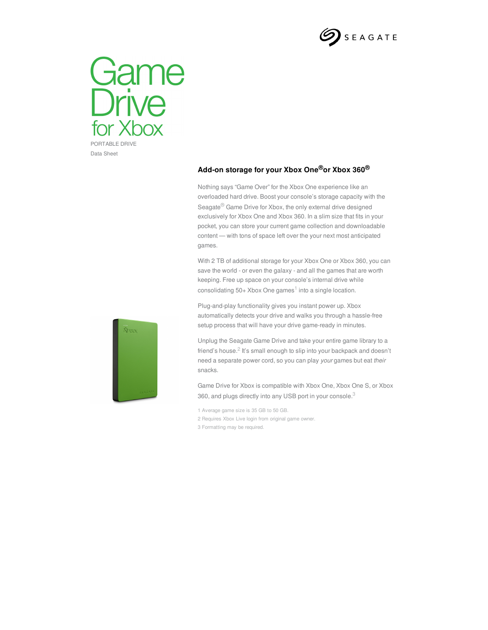



**Add-on storage for your Xbox One®or Xbox 360®**

Nothing says "Game Over" for the Xbox One experience like an overloaded hard drive. Boost your console's storage capacity with the Seagate<sup>®</sup> Game Drive for Xbox, the only external drive designed exclusively for Xbox One and Xbox 360. In a slim size that fits in your pocket, you can store your current game collection and downloadable content — with tons of space left over the your next most anticipated games.

With 2 TB of additional storage for your Xbox One or Xbox 360, you can save the world - or even the galaxy - and all the games that are worth keeping. Free up space on your console's internal drive while consolidating 50+ Xbox One games<sup>1</sup> into a single location.

Plug-and-play functionality gives you instant power up. Xbox automatically detects your drive and walks you through a hassle-free setup process that will have your drive game-ready in minutes.



Game Drive for Xbox is compatible with Xbox One, Xbox One S, or Xbox 360, and plugs directly into any USB port in your console.<sup>3</sup>

- 1 Average game size is 35 GB to 50 GB.
- 2 Requires Xbox Live login from original game owner.

3 Formatting may be required.